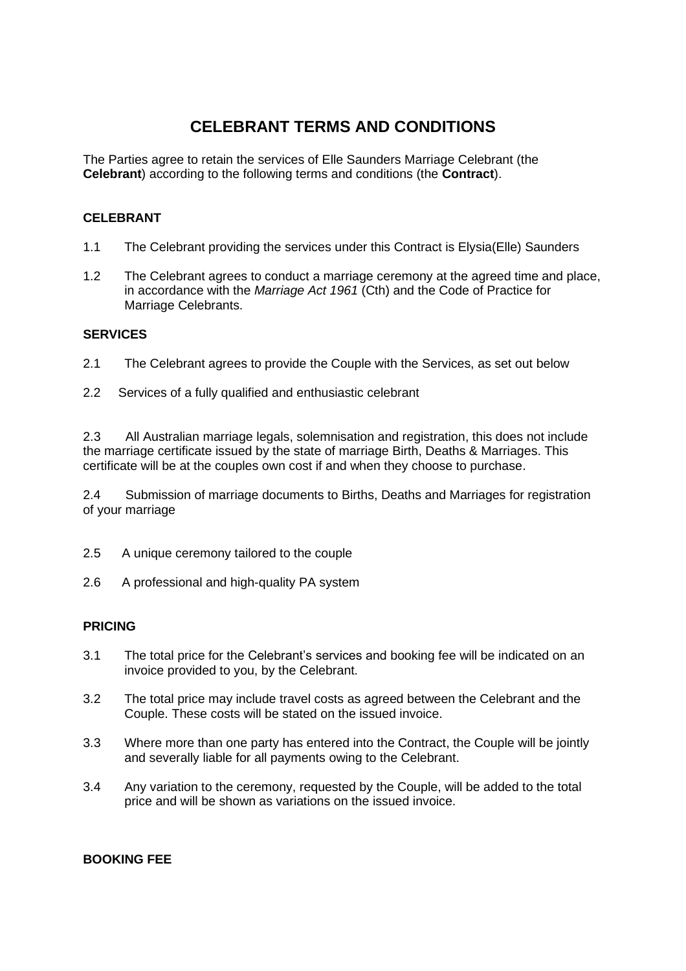# **CELEBRANT TERMS AND CONDITIONS**

The Parties agree to retain the services of Elle Saunders Marriage Celebrant (the **Celebrant**) according to the following terms and conditions (the **Contract**).

# **CELEBRANT**

- 1.1 The Celebrant providing the services under this Contract is Elysia(Elle) Saunders
- 1.2 The Celebrant agrees to conduct a marriage ceremony at the agreed time and place, in accordance with the *Marriage Act 1961* (Cth) and the Code of Practice for Marriage Celebrants.

## **SERVICES**

- 2.1 The Celebrant agrees to provide the Couple with the Services, as set out below
- 2.2 Services of a fully qualified and enthusiastic celebrant

2.3 All Australian marriage legals, solemnisation and registration, this does not include the marriage certificate issued by the state of marriage Birth, Deaths & Marriages. This certificate will be at the couples own cost if and when they choose to purchase.

2.4 Submission of marriage documents to Births, Deaths and Marriages for registration of your marriage

- 2.5 A unique ceremony tailored to the couple
- 2.6 A professional and high-quality PA system

# **PRICING**

- 3.1 The total price for the Celebrant's services and booking fee will be indicated on an invoice provided to you, by the Celebrant.
- 3.2 The total price may include travel costs as agreed between the Celebrant and the Couple. These costs will be stated on the issued invoice.
- 3.3 Where more than one party has entered into the Contract, the Couple will be jointly and severally liable for all payments owing to the Celebrant.
- 3.4 Any variation to the ceremony, requested by the Couple, will be added to the total price and will be shown as variations on the issued invoice.

# **BOOKING FEE**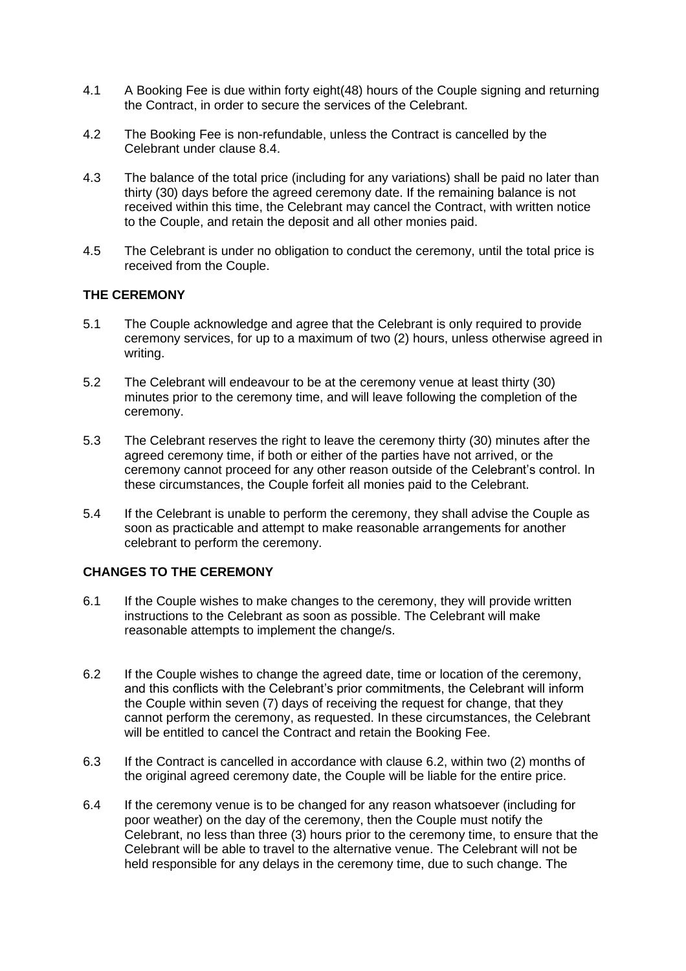- 4.1 A Booking Fee is due within forty eight(48) hours of the Couple signing and returning the Contract, in order to secure the services of the Celebrant.
- 4.2 The Booking Fee is non-refundable, unless the Contract is cancelled by the Celebrant under clause 8.4.
- 4.3 The balance of the total price (including for any variations) shall be paid no later than thirty (30) days before the agreed ceremony date. If the remaining balance is not received within this time, the Celebrant may cancel the Contract, with written notice to the Couple, and retain the deposit and all other monies paid.
- 4.5 The Celebrant is under no obligation to conduct the ceremony, until the total price is received from the Couple.

# **THE CEREMONY**

- 5.1 The Couple acknowledge and agree that the Celebrant is only required to provide ceremony services, for up to a maximum of two (2) hours, unless otherwise agreed in writing.
- 5.2 The Celebrant will endeavour to be at the ceremony venue at least thirty (30) minutes prior to the ceremony time, and will leave following the completion of the ceremony.
- 5.3 The Celebrant reserves the right to leave the ceremony thirty (30) minutes after the agreed ceremony time, if both or either of the parties have not arrived, or the ceremony cannot proceed for any other reason outside of the Celebrant's control. In these circumstances, the Couple forfeit all monies paid to the Celebrant.
- 5.4 If the Celebrant is unable to perform the ceremony, they shall advise the Couple as soon as practicable and attempt to make reasonable arrangements for another celebrant to perform the ceremony.

# **CHANGES TO THE CEREMONY**

- 6.1 If the Couple wishes to make changes to the ceremony, they will provide written instructions to the Celebrant as soon as possible. The Celebrant will make reasonable attempts to implement the change/s.
- 6.2 If the Couple wishes to change the agreed date, time or location of the ceremony, and this conflicts with the Celebrant's prior commitments, the Celebrant will inform the Couple within seven (7) days of receiving the request for change, that they cannot perform the ceremony, as requested. In these circumstances, the Celebrant will be entitled to cancel the Contract and retain the Booking Fee.
- 6.3 If the Contract is cancelled in accordance with clause 6.2, within two (2) months of the original agreed ceremony date, the Couple will be liable for the entire price.
- 6.4 If the ceremony venue is to be changed for any reason whatsoever (including for poor weather) on the day of the ceremony, then the Couple must notify the Celebrant, no less than three (3) hours prior to the ceremony time, to ensure that the Celebrant will be able to travel to the alternative venue. The Celebrant will not be held responsible for any delays in the ceremony time, due to such change. The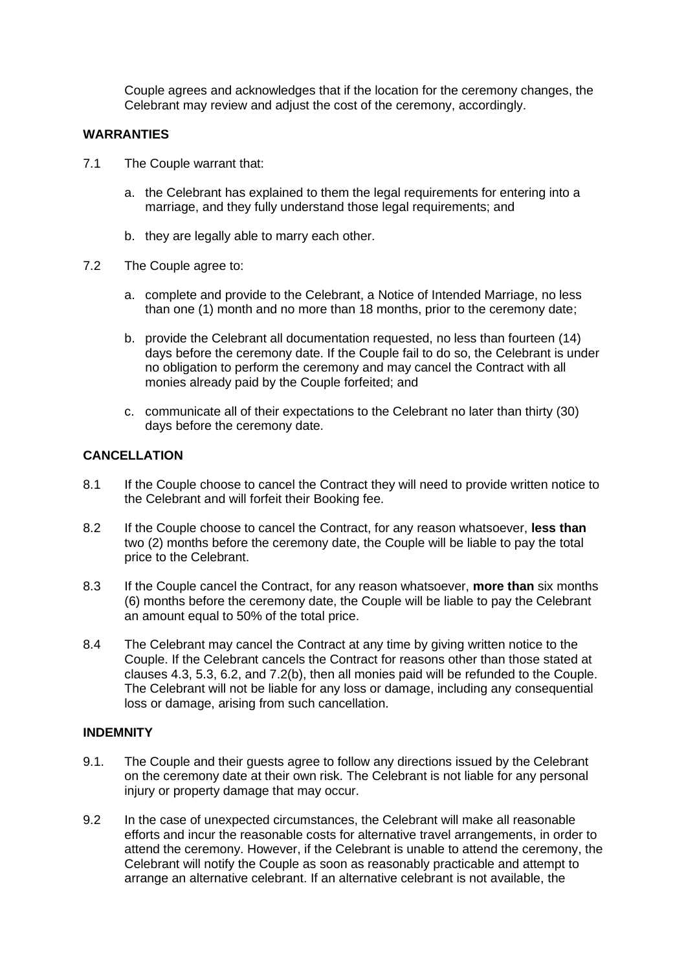Couple agrees and acknowledges that if the location for the ceremony changes, the Celebrant may review and adjust the cost of the ceremony, accordingly.

# **WARRANTIES**

- 7.1 The Couple warrant that:
	- a. the Celebrant has explained to them the legal requirements for entering into a marriage, and they fully understand those legal requirements; and
	- b. they are legally able to marry each other.
- 7.2 The Couple agree to:
	- a. complete and provide to the Celebrant, a Notice of Intended Marriage, no less than one (1) month and no more than 18 months, prior to the ceremony date;
	- b. provide the Celebrant all documentation requested, no less than fourteen (14) days before the ceremony date. If the Couple fail to do so, the Celebrant is under no obligation to perform the ceremony and may cancel the Contract with all monies already paid by the Couple forfeited; and
	- c. communicate all of their expectations to the Celebrant no later than thirty (30) days before the ceremony date.

## **CANCELLATION**

- 8.1 If the Couple choose to cancel the Contract they will need to provide written notice to the Celebrant and will forfeit their Booking fee.
- 8.2 If the Couple choose to cancel the Contract, for any reason whatsoever, **less than** two (2) months before the ceremony date, the Couple will be liable to pay the total price to the Celebrant.
- 8.3 If the Couple cancel the Contract, for any reason whatsoever, **more than** six months (6) months before the ceremony date, the Couple will be liable to pay the Celebrant an amount equal to 50% of the total price.
- 8.4 The Celebrant may cancel the Contract at any time by giving written notice to the Couple. If the Celebrant cancels the Contract for reasons other than those stated at clauses 4.3, 5.3, 6.2, and 7.2(b), then all monies paid will be refunded to the Couple. The Celebrant will not be liable for any loss or damage, including any consequential loss or damage, arising from such cancellation.

# **INDEMNITY**

- 9.1. The Couple and their guests agree to follow any directions issued by the Celebrant on the ceremony date at their own risk. The Celebrant is not liable for any personal injury or property damage that may occur.
- 9.2 In the case of unexpected circumstances, the Celebrant will make all reasonable efforts and incur the reasonable costs for alternative travel arrangements, in order to attend the ceremony. However, if the Celebrant is unable to attend the ceremony, the Celebrant will notify the Couple as soon as reasonably practicable and attempt to arrange an alternative celebrant. If an alternative celebrant is not available, the